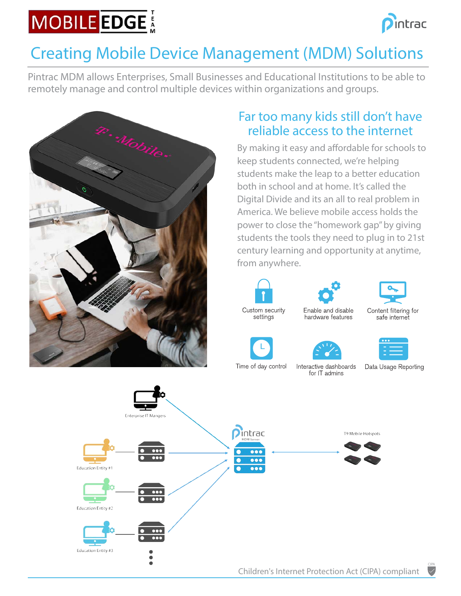# **MOBILE EDGE**



# Creating Mobile Device Management (MDM) Solutions

Pintrac MDM allows Enterprises, Small Businesses and Educational Institutions to be able to remotely manage and control multiple devices within organizations and groups.



## Far too many kids still don't have reliable access to the internet

By making it easy and affordable for schools to keep students connected, we're helping students make the leap to a better education both in school and at home. It's called the Digital Divide and its an all to real problem in America. We believe mobile access holds the power to close the "homework gap" by giving students the tools they need to plug in to 21st century learning and opportunity at anytime, from anywhere.



settings



hardware features

for IT admins



Content filtering for safe internet









Data Usage Reporting